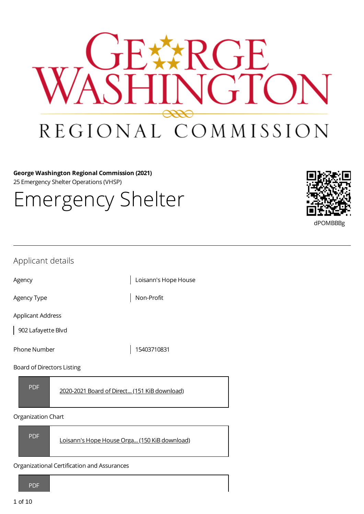

**George Washington Regional Commission (2021)** 25 Emergency Shelter Operations (VHSP)

Emergency Shelter



| Applicant details                                          |                      |
|------------------------------------------------------------|----------------------|
| Agency                                                     | Loisann's Hope House |
| Agency Type                                                | Non-Profit           |
| <b>Applicant Address</b><br>902 Lafayette Blvd             |                      |
| <b>Phone Number</b>                                        | 15403710831          |
| Board of Directors Listing                                 |                      |
| <b>PDF</b><br>2020-2021 Board of Direct (151 KiB download) |                      |

## Organization Chart



Organizational Certification and Assurances

PDF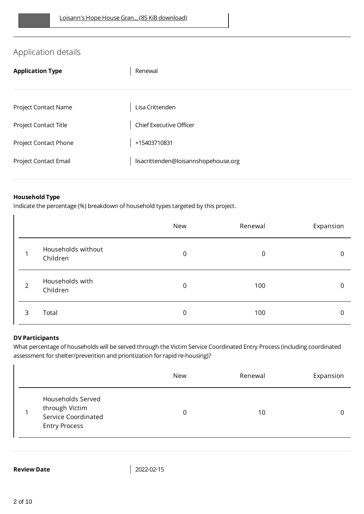# Application details

| <b>Application Type</b> | Renewal                              |
|-------------------------|--------------------------------------|
|                         |                                      |
| Project Contact Name    | Lisa Crittenden                      |
| Project Contact Title   | <b>Chief Executive Officer</b>       |
| Project Contact Phone   | +15403710831                         |
| Project Contact Email   | lisacrittenden@loisannshopehouse.org |
|                         |                                      |

## **Household Type**

Indicate the percentage (%) breakdown of household types targeted by this project.

|                |                                | New         | Renewal | Expansion    |
|----------------|--------------------------------|-------------|---------|--------------|
|                | Households without<br>Children | $\mathbf 0$ | 0       | $\mathbf{0}$ |
| $\overline{2}$ | Households with<br>Children    | $\mathbf 0$ | 100     | 0            |
| 3              | Total                          | 0           | 100     | 0            |

## **DV Participants**

What percentage of households will be served through the Victim Service Coordinated Entry Process (including coordinated assessment for shelter/prevention and prioritization for rapid re-housing)?

|                                                                                    | New | Renewal | Expansion |
|------------------------------------------------------------------------------------|-----|---------|-----------|
| Households Served<br>through Victim<br>Service Coordinated<br><b>Entry Process</b> | 0   | 10      |           |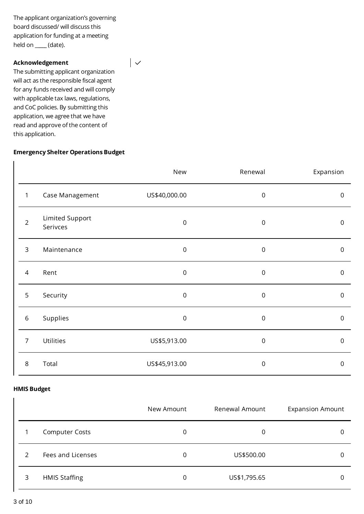The applicant organization's governing board discussed/ will discuss this application for funding at a meeting held on \_**\_\_\_\_** (date).

 $\vert \downarrow$ 

#### **Acknowledgement**

The submitting applicant organization will act as the responsible fiscal agent for any funds received and will comply with applicable tax laws, regulations, and CoC policies. By submitting this application, we agree that we have read and approve of the content of this application.

## **Emergency Shelter Operations Budget**

|                |                             | New            | Renewal          | Expansion           |
|----------------|-----------------------------|----------------|------------------|---------------------|
| $\mathbf{1}$   | Case Management             | US\$40,000.00  | $\mathbf 0$      | $\mathsf 0$         |
| $\overline{2}$ | Limited Support<br>Serivces | $\overline{0}$ | $\boldsymbol{0}$ | $\mathsf{O}\xspace$ |
| 3              | Maintenance                 | $\mathbf 0$    | $\mathbf 0$      | $\mathsf 0$         |
| $\overline{4}$ | Rent                        | $\mathbf 0$    | $\boldsymbol{0}$ | $\mathsf{O}\xspace$ |
| 5              | Security                    | $\mathbf 0$    | $\mathbf 0$      | $\mathsf 0$         |
| $\,$ 6 $\,$    | Supplies                    | $\mathbf 0$    | $\mathbf 0$      | $\mathsf 0$         |
| $\overline{7}$ | Utilities                   | US\$5,913.00   | $\boldsymbol{0}$ | $\mathsf 0$         |
| $\,8\,$        | Total                       | US\$45,913.00  | $\boldsymbol{0}$ | $\mathbf 0$         |

#### **HMIS Budget**

|                |                       | New Amount | Renewal Amount | <b>Expansion Amount</b> |
|----------------|-----------------------|------------|----------------|-------------------------|
|                | <b>Computer Costs</b> | 0          | 0              | 0                       |
| $\mathfrak{D}$ | Fees and Licenses     | 0          | US\$500.00     | 0                       |
| 3              | <b>HMIS Staffing</b>  | 0          | US\$1,795.65   | 0                       |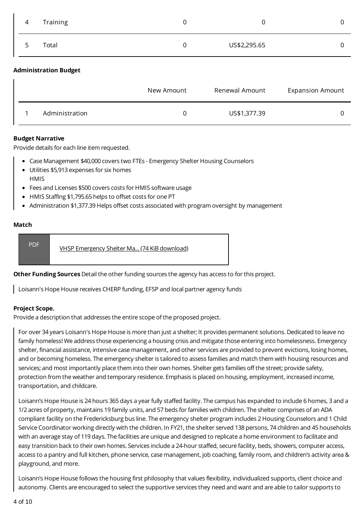| $\overline{4}$ | Training | U | υ            |  |
|----------------|----------|---|--------------|--|
| 5              | Total    | 0 | US\$2,295.65 |  |
|                |          |   |              |  |

### **Administration Budget**

|                | New Amount | Renewal Amount | <b>Expansion Amount</b> |
|----------------|------------|----------------|-------------------------|
| Administration | $\Omega$   | US\$1,377.39   |                         |

#### **Budget Narrative**

Provide details for each line item requested.

- Case Management \$40,000 covers two FTEs Emergency Shelter Housing Counselors
- Utilities \$5,913 expenses for six homes **HMIS**
- Fees and Licenses \$500 covers costs for HMIS software usage
- HMIS Staffing \$1,795.65 helps to offset costs for one PT
- Administration \$1,377.39 Helps offset costs associated with program oversight by management

#### **Match**

**Other Funding Sources** Detail the other funding sources the agency has access to for this project.

Loisann's Hope House receives CHERP funding, EFSP and local partner agency funds

#### **Project Scope.**

Provide a description that addresses the entire scope of the proposed project.

For over 34 years Loisann's Hope House is more than just a shelter; It provides permanent solutions. Dedicated to leave no family homeless! We address those experiencing a housing crisis and mitigate those entering into homelessness. Emergency shelter, financial assistance, intensive case management, and other services are provided to prevent evictions, losing homes, and or becoming homeless. The emergency shelter is tailored to assess families and match them with housing resources and services; and most importantly place them into their own homes. Shelter gets families off the street; provide safety, protection from the weather and temporary residence. Emphasis is placed on housing, employment, increased income, transportation, and childcare.

Loisann's Hope House is 24 hours 365 days a year fully staffed facility. The campus has expanded to include 6 homes, 3 and a 1/2 acres of property, maintains 19 family units, and 57 beds for families with children. The shelter comprises of an ADA compliant facility on the Fredericksburg bus line. The emergency shelter program includes 2 Housing Counselors and 1 Child Service Coordinator working directly with the children. In FY21, the shelter served 138 persons, 74 children and 45 households with an average stay of 119 days. The facilities are unique and designed to replicate a home environment to facilitate and easy transition back to their own homes. Services include a 24-hour staffed, secure facility, beds, showers, computer access, access to a pantry and full kitchen, phone service, case management, job coaching, family room, and children's activity area & playground, and more.

Loisann's Hope House follows the housing first philosophy that values flexibility, individualized supports, client choice and autonomy. Clients are encouraged to select the supportive services they need and want and are able to tailor supports to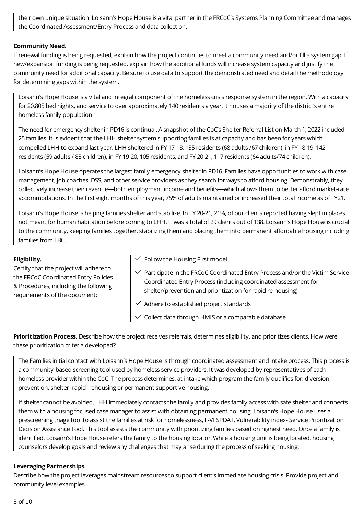their own unique situation. Loisann's Hope House is a vital partner in the FRCoC's Systems Planning Committee and manages the Coordinated Assessment/Entry Process and data collection.

## **Community Need.**

If renewal funding is being requested, explain how the project continues to meet a community need and/or fill a system gap. If new/expansion funding is being requested, explain how the additional funds will increase system capacity and justify the community need for additional capacity. Be sure to use data to support the demonstrated need and detail the methodology for determining gaps within the system.

Loisann's Hope House is a vital and integral component of the homeless crisis response system in the region. With a capacity for 20,805 bed nights, and service to over approximately 140 residents a year, it houses a majority of the district's entire homeless family population.

The need for emergency shelter in PD16 is continual. A snapshot of the CoC's Shelter Referral List on March 1, 2022 included 25 families. It is evident that the LHH shelter system supporting families is at capacity and has been for years which compelled LHH to expand last year. LHH sheltered in FY 17-18, 135 residents (68 adults /67 children), in FY 18-19, 142 residents (59 adults / 83 children), in FY 19-20, 105 residents, and FY 20-21, 117 residents (64 adults/74 children).

Loisann's Hope House operates the largest family emergency shelter in PD16. Families have opportunities to work with case management, job coaches, DSS, and other service providers as they search for ways to afford housing. Demonstrably, they collectively increase their revenue—both employment income and benefits—which allows them to better afford market-rate accommodations. In the first eight months of this year, 75% of adults maintained or increased their total income as of FY21.

Loisann's Hope House is helping families shelter and stabilize. In FY 20-21, 21%, of our clients reported having slept in places not meant for human habitation before coming to LHH. It was a total of 29 clients out of 138. Loisann's Hope House is crucial to the community, keeping families together, stabilizing them and placing them into permanent affordable housing including families from TBC.

## **Eligibility.**

Certify that the project will adhere to the FRCoC Coordinated Entry Policies & Procedures, including the following requirements of the document:

- $\checkmark$  Follow the Housing First model
- $\checkmark$  Participate in the FRCoC Coordinated Entry Process and/or the Victim Service Coordinated Entry Process (including coordinated assessment for shelter/prevention and prioritization for rapid re-housing)
- $\vee$  Adhere to established project standards
- Collect data through HMIS or a comparable database

**Prioritization Process.** Describe how the project receives referrals, determines eligibility, and prioritizes clients. How were these prioritization criteria developed?

The Families initial contact with Loisann's Hope House is through coordinated assessment and intake process. This process is a community-based screening tool used by homeless service providers. It was developed by representatives of each homeless provider within the CoC. The process determines, at intake which program the family qualifies for: diversion, prevention, shelter- rapid- rehousing or permanent supportive housing.

If shelter cannot be avoided, LHH immediately contacts the family and provides family access with safe shelter and connects them with a housing focused case manager to assist with obtaining permanent housing. Loisann's Hope House uses a prescreening triage tool to assist the families at risk for homelessness, F-VI SPDAT. Vulnerability index- Service Prioritization Decision Assistance Tool. This tool assists the community with prioritizing families based on highest need. Once a family is identified, Loisann's Hope House refers the family to the housing locator. While a housing unit is being located, housing counselors develop goals and review any challenges that may arise during the process of seeking housing.

## **Leveraging Partnerships.**

Describe how the project leverages mainstream resources to support client's immediate housing crisis. Provide project and community level examples.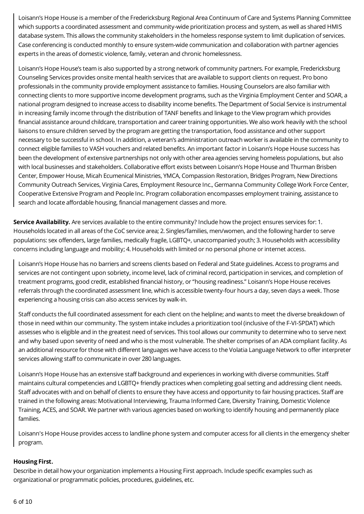Loisann's Hope House is a member of the Fredericksburg Regional Area Continuum of Care and Systems Planning Committee which supports a coordinated assessment and community-wide prioritization process and system, as well as shared HMIS database system. This allows the community stakeholders in the homeless response system to limit duplication of services. Case conferencing is conducted monthly to ensure system-wide communication and collaboration with partner agencies experts in the areas of domestic violence, family, veteran and chronic homelessness.

Loisann's Hope House's team is also supported by a strong network of community partners. For example, Fredericksburg Counseling Services provides onsite mental health services that are available to support clients on request. Pro bono professionals in the community provide employment assistance to families. Housing Counselors are also familiar with connecting clients to more supportive income development programs, such as the Virginia Employment Center and SOAR, a national program designed to increase access to disability income benefits. The Department of Social Service is instrumental in increasing family income through the distribution of TANF benefits and linkage to the View program which provides financial assistance around childcare, transportation and career training opportunities. We also work heavily with the school liaisons to ensure children served by the program are getting the transportation, food assistance and other support necessary to be successful in school. In addition, a veteran's administration outreach worker is available in the community to connect eligible families to VASH vouchers and related benefits. An important factor in Loisann's Hope House success has been the development of extensive partnerships not only with other area agencies serving homeless populations, but also with local businesses and stakeholders. Collaborative effort exists between Loisann's Hope House and Thurman Brisben Center, Empower House, Micah Ecumenical Ministries, YMCA, Compassion Restoration, Bridges Program, New Directions Community Outreach Services, Virginia Cares, Employment Resource Inc., Germanna Community College Work Force Center, Cooperative Extensive Program and People Inc. Program collaboration encompasses employment training, assistance to search and locate affordable housing, financial management classes and more.

**Service Availability.** Are services available to the entire community? Include how the project ensures services for: 1. Households located in all areas of the CoC service area; 2. Singles/families, men/women, and the following harder to serve populations: sex offenders, large families, medically fragile, LGBTQ+, unaccompanied youth; 3. Households with accessibility concerns including language and mobility; 4. Households with limited or no personal phone or internet access.

Loisann's Hope House has no barriers and screens clients based on Federal and State guidelines. Access to programs and services are not contingent upon sobriety, income level, lack of criminal record, participation in services, and completion of treatment programs, good credit, established financial history, or "housing readiness." Loisann's Hope House receives referrals through the coordinated assessment line, which is accessible twenty-four hours a day, seven days a week. Those experiencing a housing crisis can also access services by walk-in.

Staff conducts the full coordinated assessment for each client on the helpline; and wants to meet the diverse breakdown of those in need within our community. The system intake includes a prioritization tool (inclusive of the F-VI-SPDAT) which assesses who is eligible and in the greatest need of services. This tool allows our community to determine who to serve next and why based upon severity of need and who is the most vulnerable. The shelter comprises of an ADA compliant facility. As an additional resource for those with different languages we have access to the Volatia Language Network to offer interpreter services allowing staff to communicate in over 280 languages.

Loisann's Hope House has an extensive staff background and experiences in working with diverse communities. Staff maintains cultural competencies and LGBTQ+ friendly practices when completing goal setting and addressing client needs. Staff advocates with and on behalf of clients to ensure they have access and opportunity to fair housing practices. Staff are trained in the following areas: Motivational Interviewing, Trauma Informed Care, Diversity Training, Domestic Violence Training, ACES, and SOAR. We partner with various agencies based on working to identify housing and permanently place families.

Loisann's Hope House provides access to landline phone system and computer access for all clients in the emergency shelter program.

## **Housing First.**

Describe in detail how your organization implements a Housing First approach. Include specific examples such as organizational or programmatic policies, procedures, guidelines, etc.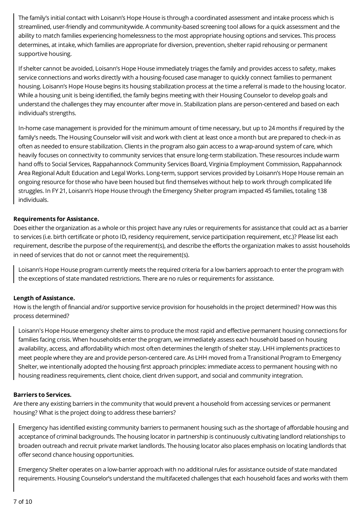The family's initial contact with Loisann's Hope House is through a coordinated assessment and intake process which is streamlined, user-friendly and communitywide. A community-based screening tool allows for a quick assessment and the ability to match families experiencing homelessness to the most appropriate housing options and services. This process determines, at intake, which families are appropriate for diversion, prevention, shelter rapid rehousing or permanent supportive housing.

If shelter cannot be avoided, Loisann's Hope House immediately triages the family and provides access to safety, makes service connections and works directly with a housing-focused case manager to quickly connect families to permanent housing. Loisann's Hope House begins its housing stabilization process at the time a referral is made to the housing locator. While a housing unit is being identified, the family begins meeting with their Housing Counselor to develop goals and understand the challenges they may encounter after move in. Stabilization plans are person-centered and based on each individual's strengths.

In-home case management is provided for the minimum amount of time necessary, but up to 24 months if required by the family's needs. The Housing Counselor will visit and work with client at least once a month but are prepared to check-in as often as needed to ensure stabilization. Clients in the program also gain access to a wrap-around system of care, which heavily focuses on connectivity to community services that ensure long-term stabilization. These resources include warm hand offs to Social Services, Rappahannock Community Services Board, Virginia Employment Commission, Rappahannock Area Regional Adult Education and Legal Works. Long-term, support services provided by Loisann's Hope House remain an ongoing resource for those who have been housed but find themselves without help to work through complicated life struggles. In FY 21, Loisann's Hope House through the Emergency Shelter program impacted 45 families, totaling 138 individuals.

## **Requirements for Assistance.**

Does either the organization as a whole or this project have any rules or requirements for assistance that could act as a barrier to services (i.e. birth certificate or photo ID, residency requirement, service participation requirement, etc.)? Please list each requirement, describe the purpose of the requirement(s), and describe the efforts the organization makes to assist households in need of services that do not or cannot meet the requirement(s).

Loisann's Hope House program currently meets the required criteria for a low barriers approach to enter the program with the exceptions of state mandated restrictions. There are no rules or requirements for assistance.

## **Length of Assistance.**

How is the length of financial and/or supportive service provision for households in the project determined? How was this process determined?

Loisann's Hope House emergency shelter aims to produce the most rapid and effective permanent housing connections for families facing crisis. When households enter the program, we immediately assess each household based on housing availability, access, and affordability which most often determines the length of shelter stay. LHH implements practices to meet people where they are and provide person-centered care. As LHH moved from a Transitional Program to Emergency Shelter, we intentionally adopted the housing first approach principles: immediate access to permanent housing with no housing readiness requirements, client choice, client driven support, and social and community integration.

#### **Barriers to Services.**

Are there any existing barriers in the community that would prevent a household from accessing services or permanent housing? What is the project doing to address these barriers?

Emergency has identified existing community barriers to permanent housing such as the shortage of affordable housing and acceptance of criminal backgrounds. The housing locator in partnership is continuously cultivating landlord relationships to broaden outreach and recruit private market landlords. The housing locator also places emphasis on locating landlords that offer second chance housing opportunities.

Emergency Shelter operates on a low-barrier approach with no additional rules for assistance outside of state mandated requirements. Housing Counselor's understand the multifaceted challenges that each household faces and works with them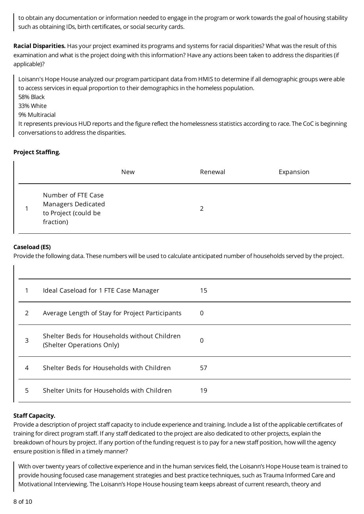to obtain any documentation or information needed to engage in the program or work towards the goal of housing stability such as obtaining IDs, birth certificates, or social security cards.

**Racial Disparities.** Has your project examined its programs and systems for racial disparities? What was the result of this examination and what is the project doing with this information? Have any actions been taken to address the disparities (if applicable)?

Loisann's Hope House analyzed our program participant data from HMIS to determine if all demographic groups were able to access services in equal proportion to their demographics in the homeless population.

- 58% Black
- 33% White

## 9% Multiracial

It represents previous HUD reports and the figure reflect the homelessness statistics according to race. The CoC is beginning conversations to address the disparities.

## **Project Staffing.**

|                                                                               | New | Renewal | Expansion |
|-------------------------------------------------------------------------------|-----|---------|-----------|
| Number of FTE Case<br>Managers Dedicated<br>to Project (could be<br>fraction) |     |         |           |

## **Caseload (ES)**

Provide the following data. These numbers will be used to calculate anticipated number of households served by the project.

| 1 | Ideal Caseload for 1 FTE Case Manager                                     | 15 |
|---|---------------------------------------------------------------------------|----|
| 2 | Average Length of Stay for Project Participants                           | 0  |
| 3 | Shelter Beds for Households without Children<br>(Shelter Operations Only) | 0  |
| 4 | Shelter Beds for Households with Children                                 | 57 |
| 5 | Shelter Units for Households with Children                                | 19 |

## **Staff Capacity.**

Provide a description of project staff capacity to include experience and training. Include a list of the applicable certificates of training for direct program staff. If any staff dedicated to the project are also dedicated to other projects, explain the breakdown of hours by project. If any portion of the funding request is to pay for a new staff position, how will the agency ensure position is filled in a timely manner?

With over twenty years of collective experience and in the human services field, the Loisann's Hope House team is trained to provide housing focused case management strategies and best practice techniques, such as Trauma Informed Care and Motivational Interviewing. The Loisann's Hope House housing team keeps abreast of current research, theory and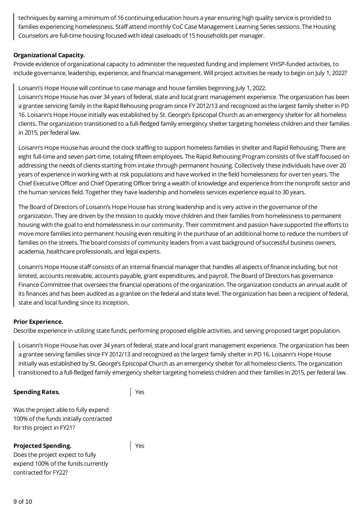techniques by earning a minimum of 16 continuing education hours a year ensuring high quality service is provided to families experiencing homelessness. Staff attend monthly CoC Case Management Learning Series sessions. The Housing Counselors are full-time housing focused with ideal caseloads of 15 households per manager.

## **Organizational Capacity.**

Provide evidence of organizational capacity to administer the requested funding and implement VHSP-funded activities, to include governance, leadership, experience, and financial management. Will project activities be ready to begin on July 1, 2022?

Loisann's Hope House will continue to case manage and house families beginning July 1, 2022.

Loisann's Hope House has over 34 years of federal, state and local grant management experience. The organization has been a grantee servicing family in the Rapid Rehousing program since FY 2012/13 and recognized as the largest family shelter in PD 16. Loisann's Hope House initially was established by St. George's Episcopal Church as an emergency shelter for all homeless clients. The organization transitioned to a full-fledged family emergency shelter targeting homeless children and their families in 2015, per federal law.

Loisann's Hope House has around the clock staffing to support homeless families in shelter and Rapid Rehousing. There are eight full-time and seven part-time, totaling fifteen employees. The Rapid Rehousing Program consists of five staff focused on addressing the needs of clients starting from intake through permanent housing. Collectively these individuals have over 20 years of experience in working with at risk populations and have worked in the field homelessness for over ten years. The Chief Executive Officer and Chief Operating Officer bring a wealth of knowledge and experience from the nonprofit sector and the human services field. Together they have leadership and homeless services experience equal to 30 years.

The Board of Directors of Loisann's Hope House has strong leadership and is very active in the governance of the organization. They are driven by the mission to quickly move children and their families from homelessness to permanent housing with the goal to end homelessness in our community. Their commitment and passion have supported the efforts to move more families into permanent housing even resulting in the purchase of an additional home to reduce the numbers of families on the streets. The board consists of community leaders from a vast background of successful business owners, academia, healthcare professionals, and legal experts.

Loisann's Hope House staff consists of an internal financial manager that handles all aspects of finance including, but not limited, accounts receivable, accounts payable, grant expenditures, and payroll. The Board of Directors has governance Finance Committee that oversees the financial operations of the organization. The organization conducts an annual audit of its finances and has been audited as a grantee on the federal and state level. The organization has been a recipient of federal, state and local funding since its inception.

## **Prior Experience.**

Describe experience in utilizing state funds, performing proposed eligible activities, and serving proposed target population.

Loisann's Hope House has over 34 years of federal, state and local grant management experience. The organization has been a grantee serving families since FY 2012/13 and recognized as the largest family shelter in PD 16. Loisann's Hope House initially was established by St. George's Episcopal Church as an emergency shelter for all homeless clients. The organization transitioned to a full-fledged family emergency shelter targeting homeless children and their families in 2015, per federal law.

#### **Spending Rates.**

Yes

Yes

Was the project able to fully expend 100% of the funds initially contracted for this project in FY21?

## **Projected Spending.**

Does the project expect to fully expend 100% of the funds currently contracted for FY22?